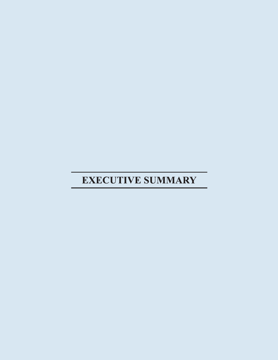# **EXECUTIVE SUMMARY**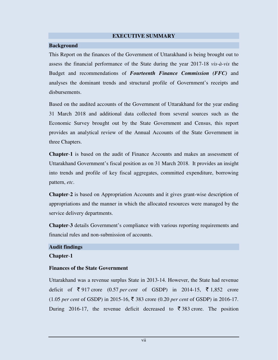#### **EXECUTIVE SUMMARY**

#### **Background**

This Report on the finances of the Government of Uttarakhand is being brought out to assess the financial performance of the State during the year 2017-18 *vis-à-vis* the Budget and recommendations of *Fourteenth Finance Commission (FFC)* and analyses the dominant trends and structural profile of Government's receipts and disbursements.

Based on the audited accounts of the Government of Uttarakhand for the year ending 31 March 2018 and additional data collected from several sources such as the Economic Survey brought out by the State Government and Census, this report provides an analytical review of the Annual Accounts of the State Government in three Chapters.

**Chapter**-**1** is based on the audit of Finance Accounts and makes an assessment of Uttarakhand Government's fiscal position as on 31 March 2018. It provides an insight into trends and profile of key fiscal aggregates, committed expenditure, borrowing pattern, *etc*.

**Chapter**-**2** is based on Appropriation Accounts and it gives grant-wise description of appropriations and the manner in which the allocated resources were managed by the service delivery departments.

**Chapter**-**3** details Government's compliance with various reporting requirements and financial rules and non-submission of accounts.

## **Audit findings Chapter**-**1**

#### **Finances of the State Government**

Uttarakhand was a revenue surplus State in 2013-14. However, the State had revenue deficit of  $\bar{\xi}$  917 crore (0.57 *per cent* of GSDP) in 2014-15,  $\bar{\xi}$  1,852 crore  $(1.05 \text{ per cent of GSDP})$  in 2015-16,  $\overline{\xi}$  383 crore  $(0.20 \text{ per cent of GSDP})$  in 2016-17. During 2016-17, the revenue deficit decreased to  $\bar{\tau}$  383 crore. The position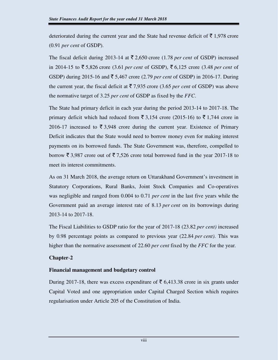deteriorated during the current year and the State had revenue deficit of  $\bar{\tau}$  1,978 crore (0.91 *per cent* of GSDP).

The fiscal deficit during 2013-14 at  $\overline{\xi}$  2,650 crore (1.78 *per cent* of GSDP) increased in 2014-15 to  $\bar{\xi}$  5,826 crore (3.61 *per cent* of GSDP),  $\bar{\xi}$  6,125 crore (3.48 *per cent* of GSDP) during 2015-16 and  $\bar{\bar{\tau}}$  5,467 crore (2.79 *per cent* of GSDP) in 2016-17. During the current year, the fiscal deficit at  $\overline{5}$  7,935 crore (3.65 *per cent* of GSDP) was above the normative target of 3.25 *per cent* of GSDP as fixed by the *FFC*.

The State had primary deficit in each year during the period 2013-14 to 2017-18. The primary deficit which had reduced from  $\bar{\xi}$  3,154 crore (2015-16) to  $\bar{\xi}$  1,744 crore in 2016-17 increased to  $\bar{\mathfrak{z}}$  3,948 crore during the current year. Existence of Primary Deficit indicates that the State would need to borrow money even for making interest payments on its borrowed funds. The State Government was, therefore, compelled to borrow  $\bar{\xi}$  3,987 crore out of  $\bar{\xi}$  7,526 crore total borrowed fund in the year 2017-18 to meet its interest commitments.

As on 31 March 2018, the average return on Uttarakhand Government's investment in Statutory Corporations, Rural Banks, Joint Stock Companies and Co-operatives was negligible and ranged from 0.004 to 0.71 *per cent* in the last five years while the Government paid an average interest rate of 8.13 *per cent* on its borrowings during 2013-14 to 2017-18.

The Fiscal Liabilities to GSDP ratio for the year of 2017-18 (23.82 *per cent)* increased by 0.98 percentage points as compared to previous year (22.84 *per cent)*. This was higher than the normative assessment of 22.60 *per cent* fixed by the *FFC* for the year*.*

## **Chapter**-**2**

## **Financial management and budgetary control**

During 2017-18, there was excess expenditure of  $\bar{\tau}$  6,413.38 crore in six grants under Capital Voted and one appropriation under Capital Charged Section which requires regularisation under Article 205 of the Constitution of India.